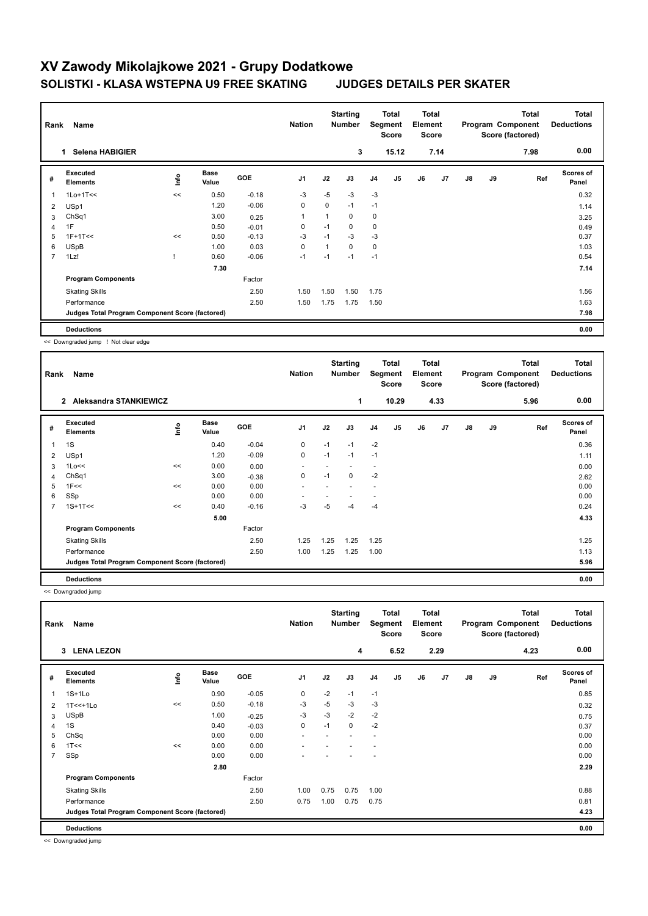## **XV Zawody Mikolajkowe 2021 - Grupy Dodatkowe SOLISTKI - KLASA WSTEPNA U9 FREE SKATING JUDGES DETAILS PER SKATER**

| Rank           | Name                                            |      |                      |            | <b>Nation</b>  |             | <b>Starting</b><br><b>Number</b><br>3 | Segment        | Total<br><b>Score</b> | <b>Total</b><br>Element<br><b>Score</b> |                | <b>Total</b><br>Program Component<br>Score (factored) |    |      | <b>Total</b><br><b>Deductions</b><br>0.00 |
|----------------|-------------------------------------------------|------|----------------------|------------|----------------|-------------|---------------------------------------|----------------|-----------------------|-----------------------------------------|----------------|-------------------------------------------------------|----|------|-------------------------------------------|
|                | <b>Selena HABIGIER</b><br>1.                    |      |                      |            |                |             |                                       |                | 15.12                 |                                         | 7.14           |                                                       |    | 7.98 |                                           |
| #              | Executed<br><b>Elements</b>                     | ١nf٥ | <b>Base</b><br>Value | <b>GOE</b> | J <sub>1</sub> | J2          | J3                                    | J <sub>4</sub> | J <sub>5</sub>        | J6                                      | J <sub>7</sub> | J8                                                    | J9 | Ref  | Scores of<br>Panel                        |
| 1              | $1$ Lo+ $1$ T<<                                 | <<   | 0.50                 | $-0.18$    | $-3$           | $-5$        | $-3$                                  | $-3$           |                       |                                         |                |                                                       |    |      | 0.32                                      |
| 2              | USp1                                            |      | 1.20                 | $-0.06$    | 0              | $\mathbf 0$ | $-1$                                  | $-1$           |                       |                                         |                |                                                       |    |      | 1.14                                      |
| 3              | ChSq1                                           |      | 3.00                 | 0.25       | $\overline{1}$ |             | 0                                     | 0              |                       |                                         |                |                                                       |    |      | 3.25                                      |
| 4              | 1F                                              |      | 0.50                 | $-0.01$    | 0              | $-1$        | 0                                     | 0              |                       |                                         |                |                                                       |    |      | 0.49                                      |
| 5              | $1F+1T<<$                                       | <<   | 0.50                 | $-0.13$    | $-3$           | $-1$        | $-3$                                  | $-3$           |                       |                                         |                |                                                       |    |      | 0.37                                      |
| 6              | <b>USpB</b>                                     |      | 1.00                 | 0.03       | $\mathbf 0$    |             | $\Omega$                              | $\mathbf 0$    |                       |                                         |                |                                                       |    |      | 1.03                                      |
| $\overline{7}$ | 1Lz!                                            |      | 0.60                 | $-0.06$    | $-1$           | $-1$        | $-1$                                  | $-1$           |                       |                                         |                |                                                       |    |      | 0.54                                      |
|                |                                                 |      | 7.30                 |            |                |             |                                       |                |                       |                                         |                |                                                       |    |      | 7.14                                      |
|                | <b>Program Components</b>                       |      |                      | Factor     |                |             |                                       |                |                       |                                         |                |                                                       |    |      |                                           |
|                | <b>Skating Skills</b>                           |      |                      | 2.50       | 1.50           | 1.50        | 1.50                                  | 1.75           |                       |                                         |                |                                                       |    |      | 1.56                                      |
|                | Performance                                     |      |                      | 2.50       | 1.50           | 1.75        | 1.75                                  | 1.50           |                       |                                         |                |                                                       |    |      | 1.63                                      |
|                | Judges Total Program Component Score (factored) |      |                      |            |                |             |                                       |                |                       |                                         |                |                                                       |    |      | 7.98                                      |
|                | <b>Deductions</b>                               |      |                      |            |                |             |                                       |                |                       |                                         |                |                                                       |    |      | 0.00                                      |

<< Downgraded jump ! Not clear edge

| Rank<br>Name   |                                                 |                                  |                      |            |                          |          | <b>Starting</b><br><b>Number</b> |                          | Total<br>Segment<br><b>Score</b> |    | <b>Total</b><br>Element<br><b>Score</b> |               |    | <b>Total</b><br>Program Component<br>Score (factored) | <b>Total</b><br><b>Deductions</b> |
|----------------|-------------------------------------------------|----------------------------------|----------------------|------------|--------------------------|----------|----------------------------------|--------------------------|----------------------------------|----|-----------------------------------------|---------------|----|-------------------------------------------------------|-----------------------------------|
|                | <b>Aleksandra STANKIEWICZ</b><br>$\mathbf{2}$   |                                  |                      |            |                          |          | $\mathbf{1}$                     |                          | 10.29                            |    | 4.33                                    |               |    | 5.96                                                  | 0.00                              |
| #              | Executed<br><b>Elements</b>                     | $\mathop{\mathsf{Irr}}\nolimits$ | <b>Base</b><br>Value | <b>GOE</b> | J1                       | J2       | J3                               | J <sub>4</sub>           | J5                               | J6 | J <sub>7</sub>                          | $\mathsf{J}8$ | J9 | Ref                                                   | <b>Scores of</b><br>Panel         |
|                | 1S                                              |                                  | 0.40                 | $-0.04$    | 0                        | $-1$     | $-1$                             | $-2$                     |                                  |    |                                         |               |    |                                                       | 0.36                              |
| $\overline{2}$ | USp1                                            |                                  | 1.20                 | $-0.09$    | $\pmb{0}$                | $-1$     | $-1$                             | $-1$                     |                                  |    |                                         |               |    |                                                       | 1.11                              |
| 3              | $1$ Lo<<                                        | <<                               | 0.00                 | 0.00       |                          |          |                                  | $\overline{\phantom{0}}$ |                                  |    |                                         |               |    |                                                       | 0.00                              |
| 4              | ChSq1                                           |                                  | 3.00                 | $-0.38$    | 0                        | $-1$     | 0                                | $-2$                     |                                  |    |                                         |               |    |                                                       | 2.62                              |
| 5              | 1F<<                                            | <<                               | 0.00                 | 0.00       | $\overline{\phantom{a}}$ |          |                                  | ٠                        |                                  |    |                                         |               |    |                                                       | 0.00                              |
| 6              | SSp                                             |                                  | 0.00                 | 0.00       |                          |          |                                  |                          |                                  |    |                                         |               |    |                                                       | 0.00                              |
| 7              | $1S+1T<<$                                       | <<                               | 0.40                 | $-0.16$    | $-3$                     | $-5$     | $-4$                             | -4                       |                                  |    |                                         |               |    |                                                       | 0.24                              |
|                |                                                 |                                  | 5.00                 |            |                          |          |                                  |                          |                                  |    |                                         |               |    |                                                       | 4.33                              |
|                | <b>Program Components</b>                       |                                  |                      | Factor     |                          |          |                                  |                          |                                  |    |                                         |               |    |                                                       |                                   |
|                | <b>Skating Skills</b>                           |                                  |                      | 2.50       | 1.25                     | .25<br>1 | 1.25                             | 1.25                     |                                  |    |                                         |               |    |                                                       | 1.25                              |
|                | Performance                                     |                                  |                      | 2.50       | 1.00                     | 1.25     | 1.25                             | 1.00                     |                                  |    |                                         |               |    |                                                       | 1.13                              |
|                | Judges Total Program Component Score (factored) |                                  |                      |            |                          |          |                                  |                          |                                  |    |                                         |               |    |                                                       | 5.96                              |
|                | <b>Deductions</b>                               |                                  |                      |            |                          |          |                                  |                          |                                  |    |                                         |               |    |                                                       | 0.00                              |

<< Downgraded jump

| Rank           | Name                                            |      |                      |            | <b>Nation</b>            |      | <b>Starting</b><br><b>Number</b> | Segment                  | <b>Total</b><br><b>Score</b> | <b>Total</b><br>Element<br><b>Score</b> |      | Total<br>Program Component<br>Score (factored) |    |      | <b>Total</b><br><b>Deductions</b> |
|----------------|-------------------------------------------------|------|----------------------|------------|--------------------------|------|----------------------------------|--------------------------|------------------------------|-----------------------------------------|------|------------------------------------------------|----|------|-----------------------------------|
|                | 3 LENA LEZON                                    |      |                      |            |                          |      | 4                                |                          | 6.52                         |                                         | 2.29 |                                                |    | 4.23 | 0.00                              |
| #              | Executed<br><b>Elements</b>                     | ١nfo | <b>Base</b><br>Value | <b>GOE</b> | J <sub>1</sub>           | J2   | J3                               | J <sub>4</sub>           | J5                           | J6                                      | J7   | $\mathsf{J}8$                                  | J9 | Ref  | Scores of<br>Panel                |
| 1              | $1S+1Lo$                                        |      | 0.90                 | $-0.05$    | $\mathbf 0$              | $-2$ | $-1$                             | $-1$                     |                              |                                         |      |                                                |    |      | 0.85                              |
| 2              | $1T<<+1LO$                                      | <<   | 0.50                 | $-0.18$    | $-3$                     | $-5$ | $-3$                             | $-3$                     |                              |                                         |      |                                                |    |      | 0.32                              |
| 3              | <b>USpB</b>                                     |      | 1.00                 | $-0.25$    | $-3$                     | $-3$ | $-2$                             | $-2$                     |                              |                                         |      |                                                |    |      | 0.75                              |
| 4              | 1S                                              |      | 0.40                 | $-0.03$    | 0                        | $-1$ | 0                                | $-2$                     |                              |                                         |      |                                                |    |      | 0.37                              |
| 5              | ChSq                                            |      | 0.00                 | 0.00       | $\overline{\phantom{a}}$ |      |                                  | $\overline{\phantom{a}}$ |                              |                                         |      |                                                |    |      | 0.00                              |
| 6              | 1T<<                                            | <<   | 0.00                 | 0.00       | ٠                        |      |                                  | ٠                        |                              |                                         |      |                                                |    |      | 0.00                              |
| $\overline{7}$ | SSp                                             |      | 0.00                 | 0.00       |                          |      |                                  |                          |                              |                                         |      |                                                |    |      | 0.00                              |
|                |                                                 |      | 2.80                 |            |                          |      |                                  |                          |                              |                                         |      |                                                |    |      | 2.29                              |
|                | <b>Program Components</b>                       |      |                      | Factor     |                          |      |                                  |                          |                              |                                         |      |                                                |    |      |                                   |
|                | <b>Skating Skills</b>                           |      |                      | 2.50       | 1.00                     | 0.75 | 0.75                             | 1.00                     |                              |                                         |      |                                                |    |      | 0.88                              |
|                | Performance                                     |      |                      | 2.50       | 0.75                     | 1.00 | 0.75                             | 0.75                     |                              |                                         |      |                                                |    |      | 0.81                              |
|                | Judges Total Program Component Score (factored) |      |                      |            |                          |      |                                  |                          |                              |                                         |      |                                                |    |      | 4.23                              |
|                | <b>Deductions</b>                               |      |                      |            |                          |      |                                  |                          |                              |                                         |      |                                                |    |      | 0.00                              |

<< Downgraded jump